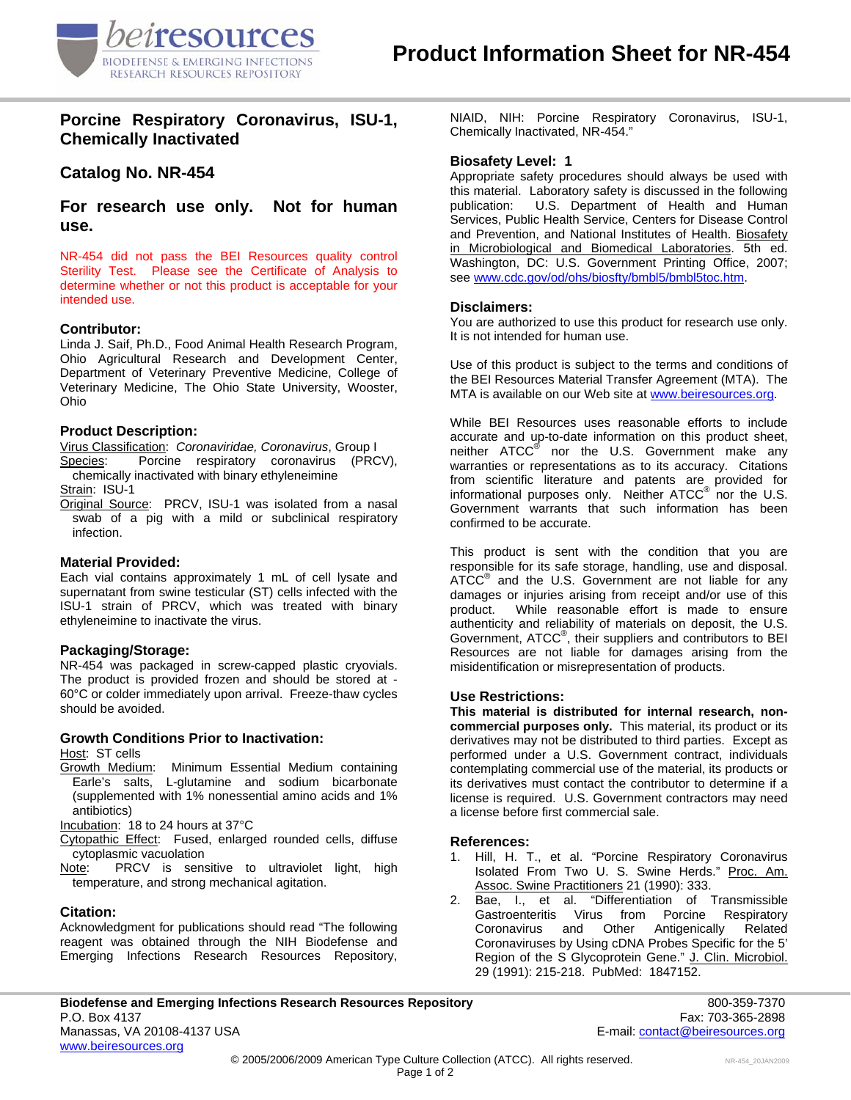

## **Porcine Respiratory Coronavirus, ISU-1, Chemically Inactivated**

# **Catalog No. NR-454**

**For research use only. Not for human use.** 

NR-454 did not pass the BEI Resources quality control Sterility Test. Please see the Certificate of Analysis to determine whether or not this product is acceptable for your intended use.

## **Contributor:**

Linda J. Saif, Ph.D., Food Animal Health Research Program, Ohio Agricultural Research and Development Center, Department of Veterinary Preventive Medicine, College of Veterinary Medicine, The Ohio State University, Wooster, Ohio

#### **Product Description:**

Virus Classification: *Coronaviridae, Coronavirus*, Group I Species: Porcine respiratory coronavirus (PRCV), chemically inactivated with binary ethyleneimine

Strain: ISU-1

Original Source: PRCV, ISU-1 was isolated from a nasal swab of a pig with a mild or subclinical respiratory infection.

## **Material Provided:**

Each vial contains approximately 1 mL of cell lysate and supernatant from swine testicular (ST) cells infected with the ISU-1 strain of PRCV, which was treated with binary ethyleneimine to inactivate the virus.

#### **Packaging/Storage:**

NR-454 was packaged in screw-capped plastic cryovials. The product is provided frozen and should be stored at - 60°C or colder immediately upon arrival. Freeze-thaw cycles should be avoided.

## **Growth Conditions Prior to Inactivation:**

Host: ST cells

Growth Medium: Minimum Essential Medium containing Earle's salts, L-glutamine and sodium bicarbonate (supplemented with 1% nonessential amino acids and 1% antibiotics)

Incubation: 18 to 24 hours at 37°C

- Cytopathic Effect: Fused, enlarged rounded cells, diffuse cytoplasmic vacuolation
- Note: PRCV is sensitive to ultraviolet light, high temperature, and strong mechanical agitation.

#### **Citation:**

Acknowledgment for publications should read "The following reagent was obtained through the NIH Biodefense and Emerging Infections Research Resources Repository, NIAID, NIH: Porcine Respiratory Coronavirus, ISU-1, Chemically Inactivated, NR-454."

## **Biosafety Level: 1**

Appropriate safety procedures should always be used with this material. Laboratory safety is discussed in the following publication: U.S. Department of Health and Human Services, Public Health Service, Centers for Disease Control and Prevention, and National Institutes of Health. Biosafety in Microbiological and Biomedical Laboratories. 5th ed. Washington, DC: U.S. Government Printing Office, 2007; see [www.cdc.gov/od/ohs/biosfty/bmbl5/bmbl5toc.htm.](http://www.cdc.gov/od/ohs/biosfty/bmbl5/bmbl5toc.htm)

## **Disclaimers:**

You are authorized to use this product for research use only. It is not intended for human use.

Use of this product is subject to the terms and conditions of the BEI Resources Material Transfer Agreement (MTA). The MTA is available on our Web site at [www.beiresources.org](http://www.beiresources.org/).

While BEI Resources uses reasonable efforts to include accurate and up-to-date information on this product sheet, neither ATCC<sup>®</sup> nor the U.S. Government make any warranties or representations as to its accuracy. Citations from scientific literature and patents are provided for informational purposes only. Neither  $ATCC^{\circledast}$  nor the U.S. Government warrants that such information has been confirmed to be accurate.

This product is sent with the condition that you are responsible for its safe storage, handling, use and disposal. ATCC<sup>®</sup> and the U.S. Government are not liable for any damages or injuries arising from receipt and/or use of this product. While reasonable effort is made to ensure authenticity and reliability of materials on deposit, the U.S. Government, ATCC® , their suppliers and contributors to BEI Resources are not liable for damages arising from the misidentification or misrepresentation of products.

#### **Use Restrictions:**

**This material is distributed for internal research, noncommercial purposes only.** This material, its product or its derivatives may not be distributed to third parties. Except as performed under a U.S. Government contract, individuals contemplating commercial use of the material, its products or its derivatives must contact the contributor to determine if a license is required. U.S. Government contractors may need a license before first commercial sale.

#### **References:**

- 1. Hill, H. T., et al. "Porcine Respiratory Coronavirus Isolated From Two U. S. Swine Herds." Proc. Am. Assoc. Swine Practitioners 21 (1990): 333.
- 2. Bae, I., et al. "Differentiation of Transmissible Gastroenteritis Virus from Porcine Coronavirus and Other Antigenically Related Coronaviruses by Using cDNA Probes Specific for the 5' Region of the S Glycoprotein Gene." J. Clin. Microbiol. 29 (1991): 215-218. PubMed: 1847152.